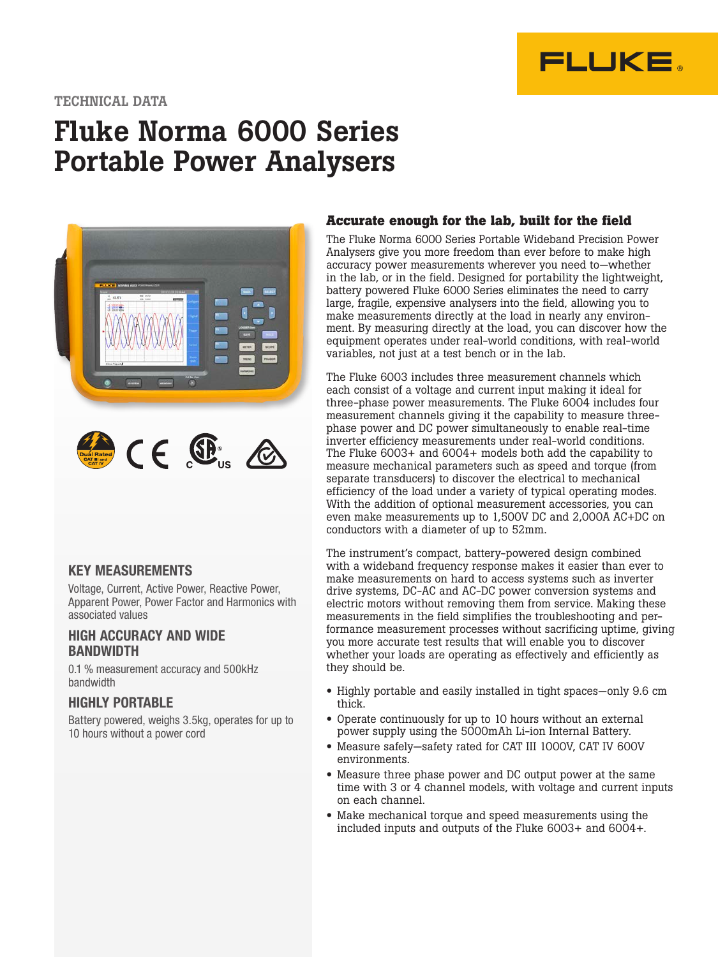

### TECHNICAL DATA

# Fluke Norma 6000 Series Portable Power Analysers



### KEY MEASUREMENTS

Voltage, Current, Active Power, Reactive Power, Apparent Power, Power Factor and Harmonics with associated values

#### HIGH ACCURACY AND WIDE **BANDWIDTH**

0.1 % measurement accuracy and 500kHz bandwidth

#### HIGHLY PORTABLE

Battery powered, weighs 3.5kg, operates for up to 10 hours without a power cord

#### **Accurate enough for the lab, built for the field**

The Fluke Norma 6000 Series Portable Wideband Precision Power Analysers give you more freedom than ever before to make high accuracy power measurements wherever you need to—whether in the lab, or in the field. Designed for portability the lightweight, battery powered Fluke 6000 Series eliminates the need to carry large, fragile, expensive analysers into the field, allowing you to make measurements directly at the load in nearly any environment. By measuring directly at the load, you can discover how the equipment operates under real-world conditions, with real-world variables, not just at a test bench or in the lab.

The Fluke 6003 includes three measurement channels which each consist of a voltage and current input making it ideal for three-phase power measurements. The Fluke 6004 includes four measurement channels giving it the capability to measure threephase power and DC power simultaneously to enable real-time inverter efficiency measurements under real-world conditions. The Fluke 6003+ and 6004+ models both add the capability to measure mechanical parameters such as speed and torque (from separate transducers) to discover the electrical to mechanical efficiency of the load under a variety of typical operating modes. With the addition of optional measurement accessories, you can even make measurements up to 1,500V DC and 2,000A AC+DC on conductors with a diameter of up to 52mm.

The instrument's compact, battery-powered design combined with a wideband frequency response makes it easier than ever to make measurements on hard to access systems such as inverter drive systems, DC-AC and AC-DC power conversion systems and electric motors without removing them from service. Making these measurements in the field simplifies the troubleshooting and performance measurement processes without sacrificing uptime, giving you more accurate test results that will enable you to discover whether your loads are operating as effectively and efficiently as they should be.

- Highly portable and easily installed in tight spaces—only 9.6 cm thick.
- Operate continuously for up to 10 hours without an external power supply using the 5000mAh Li-ion Internal Battery.
- Measure safely—safety rated for CAT III 1000V, CAT IV 600V environments.
- Measure three phase power and DC output power at the same time with 3 or 4 channel models, with voltage and current inputs on each channel.
- Make mechanical torque and speed measurements using the included inputs and outputs of the Fluke 6003+ and 6004+.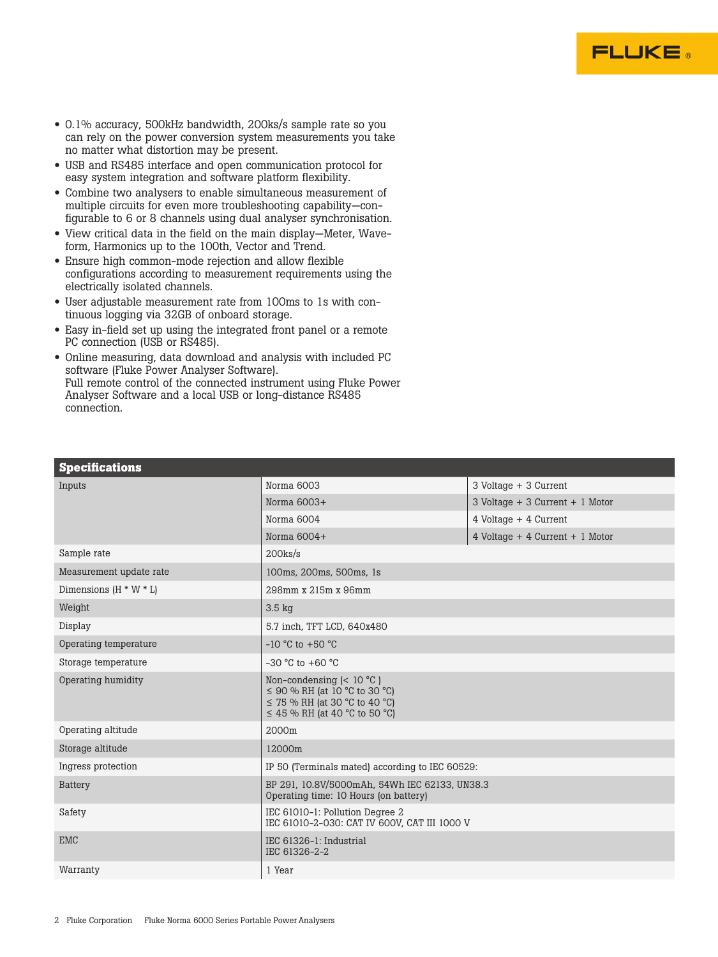

- 0.1% accuracy, 500kHz bandwidth, 200ks/s sample rate so you can rely on the power conversion system measurements you take no matter what distortion may be present.
- USB and RS485 interface and open communication protocol for easy system integration and software platform flexibility.
- Combine two analysers to enable simultaneous measurement of multiple circuits for even more troubleshooting capability—configurable to 6 or 8 channels using dual analyser synchronisation.
- View critical data in the field on the main display—Meter, Waveform, Harmonics up to the 100th, Vector and Trend.
- Ensure high common-mode rejection and allow flexible configurations according to measurement requirements using the electrically isolated channels.
- User adjustable measurement rate from 100ms to 1s with continuous logging via 32GB of onboard storage.
- Easy in-field set up using the integrated front panel or a remote PC connection (USB or RS485).
- Online measuring, data download and analysis with included PC software (Fluke Power Analyser Software). Full remote control of the connected instrument using Fluke Power Analyser Software and a local USB or long-distance RS485 connection.

| Norma 6003                                                                                                                                   | 3 Voltage + 3 Current           |  |
|----------------------------------------------------------------------------------------------------------------------------------------------|---------------------------------|--|
| Norma $6003+$                                                                                                                                | 3 Voltage + 3 Current + 1 Motor |  |
| Norma 6004                                                                                                                                   | 4 Voltage + 4 Current           |  |
| Norma $6004+$                                                                                                                                | 4 Voltage + 4 Current + 1 Motor |  |
| $200$ ks/s                                                                                                                                   |                                 |  |
| 100ms, 200ms, 500ms, 1s                                                                                                                      |                                 |  |
| 298mm x 215m x 96mm                                                                                                                          |                                 |  |
| $3.5 \text{ kg}$                                                                                                                             |                                 |  |
| 5.7 inch, TFT LCD, 640x480                                                                                                                   |                                 |  |
| $-10$ °C to $+50$ °C                                                                                                                         |                                 |  |
| $-30$ °C to $+60$ °C                                                                                                                         |                                 |  |
| Non-condensing $(< 10 °C)$<br>$\leq$ 90 % RH (at 10 °C to 30 °C)<br>$\leq$ 75 % RH (at 30 °C to 40 °C)<br>$\leq$ 45 % RH (at 40 °C to 50 °C) |                                 |  |
| 2000m                                                                                                                                        |                                 |  |
| 12000m                                                                                                                                       |                                 |  |
| IP 50 (Terminals mated) according to IEC 60529:                                                                                              |                                 |  |
| BP 291, 10.8V/5000mAh, 54Wh IEC 62133, UN38.3<br>Operating time: 10 Hours (on battery)                                                       |                                 |  |
| IEC 61010-1: Pollution Degree 2<br>IEC 61010-2-030: CAT IV 600V, CAT III 1000 V                                                              |                                 |  |
| IEC 61326-1: Industrial<br>IEC 61326-2-2                                                                                                     |                                 |  |
| 1 Year                                                                                                                                       |                                 |  |
|                                                                                                                                              |                                 |  |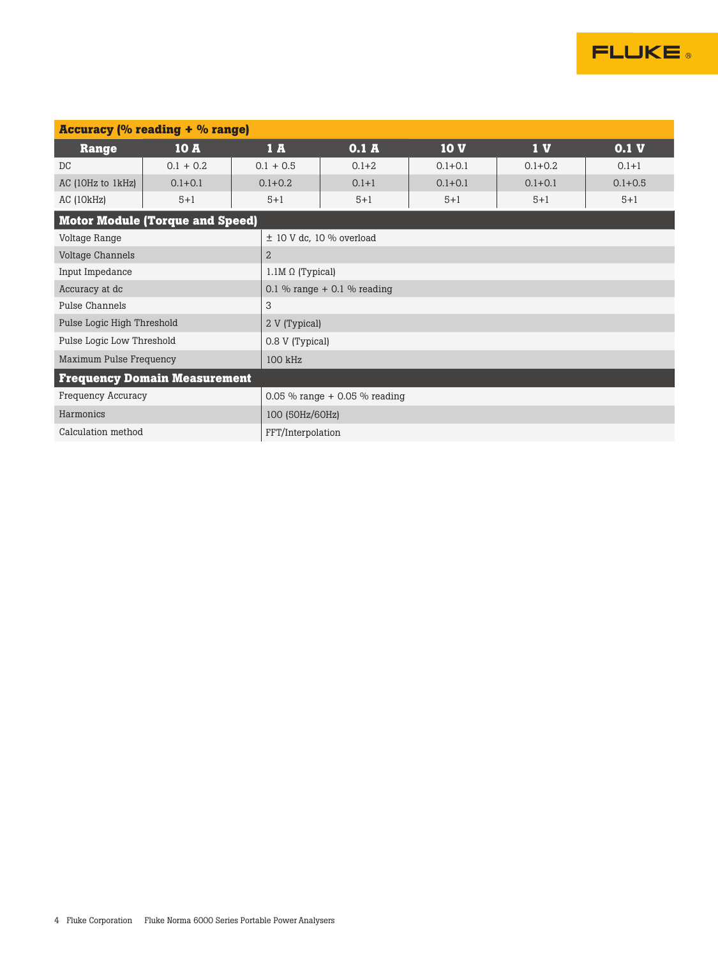

| <b>Accuracy (% reading + % range)</b>   |                                              |                 |                               |             |                |             |
|-----------------------------------------|----------------------------------------------|-----------------|-------------------------------|-------------|----------------|-------------|
| <b>Range</b>                            | <b>10 A</b>                                  | 1A              | 0.1A                          | 10V         | 1 <sub>V</sub> | 0.1V        |
| DC                                      | $0.1 + 0.2$                                  | $0.1 + 0.5$     | $0.1 + 2$                     | $0.1 + 0.1$ | $0.1 + 0.2$    | $0.1 + 1$   |
| AC (10Hz to 1kHz)                       | $0.1 + 0.1$                                  | $0.1 + 0.2$     | $0.1 + 1$                     | $0.1 + 0.1$ | $0.1 + 0.1$    | $0.1 + 0.5$ |
| AC (10kHz)                              | $5 + 1$                                      | $5 + 1$         | $5 + 1$                       | $5 + 1$     | $5 + 1$        | $5 + 1$     |
| <b>Motor Module (Torque and Speed)</b>  |                                              |                 |                               |             |                |             |
| Voltage Range                           | $\pm$ 10 V dc, 10 % overload                 |                 |                               |             |                |             |
| Voltage Channels                        | $\overline{2}$                               |                 |                               |             |                |             |
| Input Impedance                         |                                              |                 | $1.1M \Omega$ (Typical)       |             |                |             |
| Accuracy at dc                          |                                              |                 | 0.1 % range $+$ 0.1 % reading |             |                |             |
| Pulse Channels                          |                                              | 3               |                               |             |                |             |
| Pulse Logic High Threshold              |                                              |                 | 2 V (Typical)                 |             |                |             |
|                                         | Pulse Logic Low Threshold<br>0.8 V (Typical) |                 |                               |             |                |             |
| Maximum Pulse Frequency<br>100 kHz      |                                              |                 |                               |             |                |             |
| <b>Frequency Domain Measurement</b>     |                                              |                 |                               |             |                |             |
| <b>Frequency Accuracy</b>               | 0.05 % range $+$ 0.05 % reading              |                 |                               |             |                |             |
| Harmonics                               |                                              | 100 (50Hz/60Hz) |                               |             |                |             |
| Calculation method<br>FFT/Interpolation |                                              |                 |                               |             |                |             |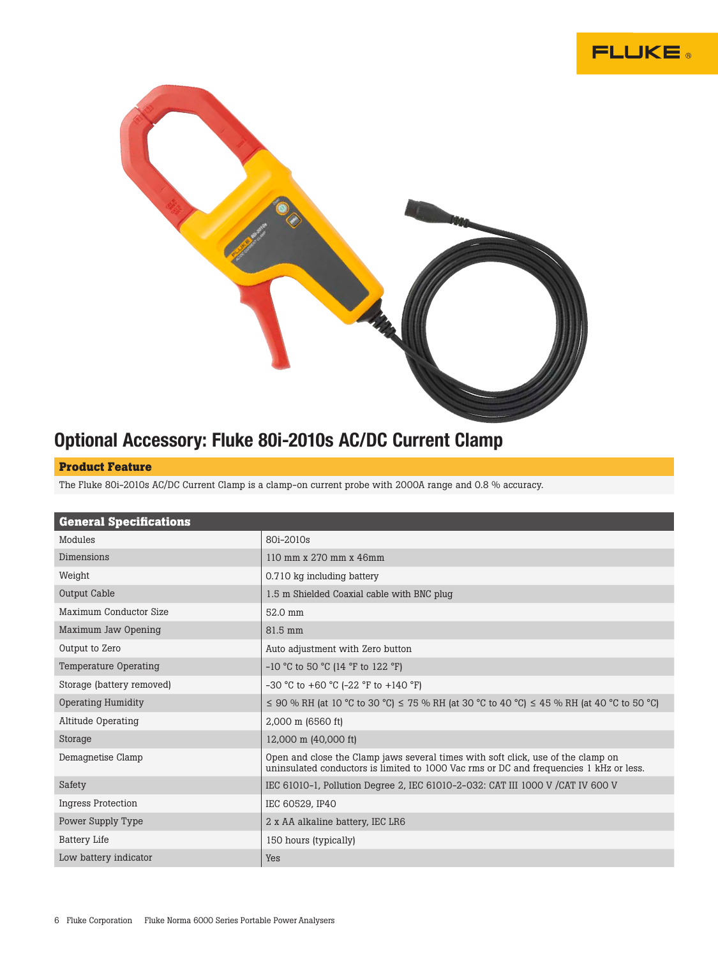



### Optional Accessory: Fluke 80i-2010s AC/DC Current Clamp

#### **Product Feature**

The Fluke 80i-2010s AC/DC Current Clamp is a clamp-on current probe with 2000A range and 0.8 % accuracy.

| <b>General Specifications</b> |                                                                                                                                                                            |
|-------------------------------|----------------------------------------------------------------------------------------------------------------------------------------------------------------------------|
| Modules                       | 80i-2010s                                                                                                                                                                  |
| Dimensions                    | 110 mm x 270 mm x 46mm                                                                                                                                                     |
| Weight                        | 0.710 kg including battery                                                                                                                                                 |
| Output Cable                  | 1.5 m Shielded Coaxial cable with BNC plug                                                                                                                                 |
| Maximum Conductor Size        | 52.0 mm                                                                                                                                                                    |
| Maximum Jaw Opening           | 81.5 mm                                                                                                                                                                    |
| Output to Zero                | Auto adjustment with Zero button                                                                                                                                           |
| Temperature Operating         | $-10$ °C to 50 °C (14 °F to 122 °F)                                                                                                                                        |
| Storage (battery removed)     | -30 °C to +60 °C (-22 °F to +140 °F)                                                                                                                                       |
| <b>Operating Humidity</b>     | $\leq$ 90 % RH (at 10 °C to 30 °C) $\leq$ 75 % RH (at 30 °C to 40 °C) $\leq$ 45 % RH (at 40 °C to 50 °C)                                                                   |
| Altitude Operating            | 2,000 m (6560 ft)                                                                                                                                                          |
| Storage                       | 12,000 m (40,000 ft)                                                                                                                                                       |
| Demagnetise Clamp             | Open and close the Clamp jaws several times with soft click, use of the clamp on<br>uninsulated conductors is limited to 1000 Vac rms or DC and frequencies 1 kHz or less. |
| Safety                        | IEC 61010-1, Pollution Degree 2, IEC 61010-2-032: CAT III 1000 V / CAT IV 600 V                                                                                            |
| <b>Ingress Protection</b>     | IEC 60529, IP40                                                                                                                                                            |
| Power Supply Type             | 2 x AA alkaline battery, IEC LR6                                                                                                                                           |
| <b>Battery Life</b>           | 150 hours (typically)                                                                                                                                                      |
| Low battery indicator         | Yes                                                                                                                                                                        |